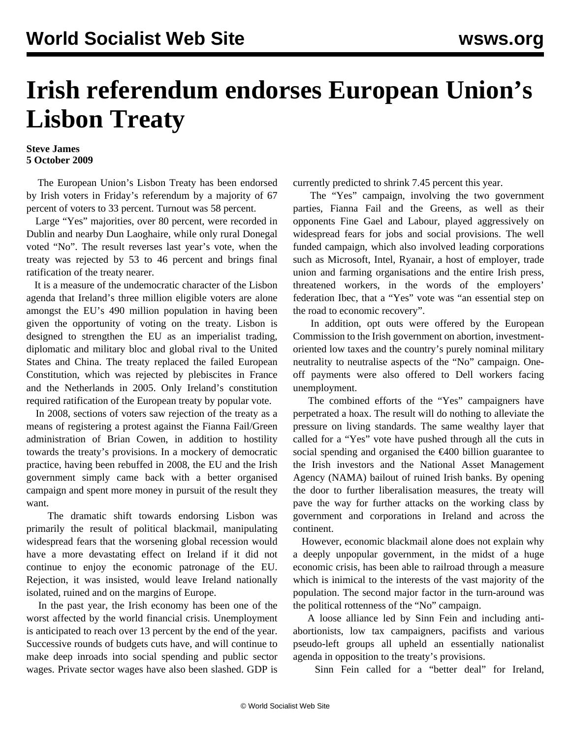## **Irish referendum endorses European Union's Lisbon Treaty**

## **Steve James 5 October 2009**

 The European Union's Lisbon Treaty has been endorsed by Irish voters in Friday's referendum by a majority of 67 percent of voters to 33 percent. Turnout was 58 percent.

 Large "Yes" majorities, over 80 percent, were recorded in Dublin and nearby Dun Laoghaire, while only rural Donegal voted "No". The result reverses last year's vote, when the treaty was rejected by 53 to 46 percent and brings final ratification of the treaty nearer.

 It is a measure of the undemocratic character of the Lisbon agenda that Ireland's three million eligible voters are alone amongst the EU's 490 million population in having been given the opportunity of voting on the treaty. Lisbon is designed to strengthen the EU as an imperialist trading, diplomatic and military bloc and global rival to the United States and China. The treaty replaced the failed European Constitution, which was rejected by plebiscites in France and the Netherlands in 2005. Only Ireland's constitution required ratification of the European treaty by popular vote.

 In 2008, sections of voters saw rejection of the treaty as a means of registering a protest against the Fianna Fail/Green administration of Brian Cowen, in addition to hostility towards the treaty's provisions. In a mockery of democratic practice, having been rebuffed in 2008, the EU and the Irish government simply came back with a better organised campaign and spent more money in pursuit of the result they want.

 The dramatic shift towards endorsing Lisbon was primarily the result of political blackmail, manipulating widespread fears that the worsening global recession would have a more devastating effect on Ireland if it did not continue to enjoy the economic patronage of the EU. Rejection, it was insisted, would leave Ireland nationally isolated, ruined and on the margins of Europe.

 In the past year, the Irish economy has been one of the worst affected by the world financial crisis. Unemployment is anticipated to reach over 13 percent by the end of the year. Successive rounds of budgets cuts have, and will continue to make deep inroads into social spending and public sector wages. Private sector wages have also been slashed. GDP is

currently predicted to shrink 7.45 percent this year.

 The "Yes" campaign, involving the two government parties, Fianna Fail and the Greens, as well as their opponents Fine Gael and Labour, played aggressively on widespread fears for jobs and social provisions. The well funded campaign, which also involved leading corporations such as Microsoft, Intel, Ryanair, a host of employer, trade union and farming organisations and the entire Irish press, threatened workers, in the words of the employers' federation Ibec, that a "Yes" vote was "an essential step on the road to economic recovery".

 In addition, opt outs were offered by the European Commission to the Irish government on abortion, investmentoriented low taxes and the country's purely nominal military neutrality to neutralise aspects of the "No" campaign. Oneoff payments were also offered to Dell workers facing unemployment.

 The combined efforts of the "Yes" campaigners have perpetrated a hoax. The result will do nothing to alleviate the pressure on living standards. The same wealthy layer that called for a "Yes" vote have pushed through all the cuts in social spending and organised the  $\epsilon$ 400 billion guarantee to the Irish investors and the National Asset Management Agency (NAMA) bailout of ruined Irish banks. By opening the door to further liberalisation measures, the treaty will pave the way for further attacks on the working class by government and corporations in Ireland and across the continent.

 However, economic blackmail alone does not explain why a deeply unpopular government, in the midst of a huge economic crisis, has been able to railroad through a measure which is inimical to the interests of the vast majority of the population. The second major factor in the turn-around was the political rottenness of the "No" campaign.

 A loose alliance led by Sinn Fein and including antiabortionists, low tax campaigners, pacifists and various pseudo-left groups all upheld an essentially nationalist agenda in opposition to the treaty's provisions.

Sinn Fein called for a "better deal" for Ireland,